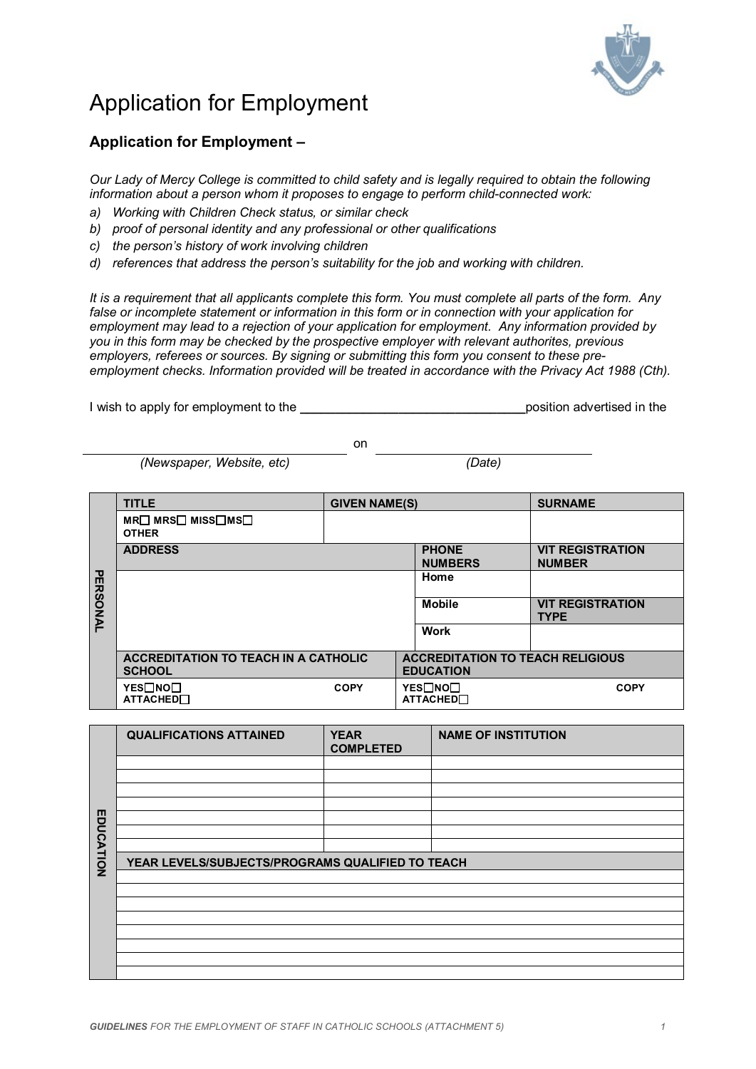

## Application for Employment

## **Application for Employment –**

*Our Lady of Mercy College is committed to child safety and is legally required to obtain the following information about a person whom it proposes to engage to perform child-connected work:*

- *a) Working with Children Check status, or similar check*
- *b) proof of personal identity and any professional or other qualifications*
- *c) the person's history of work involving children*
- *d) references that address the person's suitability for the job and working with children.*

*It is a requirement that all applicants complete this form. You must complete all parts of the form. Any false or incomplete statement or information in this form or in connection with your application for employment may lead to a rejection of your application for employment. Any information provided by you in this form may be checked by the prospective employer with relevant authorites, previous employers, referees or sources. By signing or submitting this form you consent to these preemployment checks. Information provided will be treated in accordance with the Privacy Act 1988 (Cth).*

I wish to apply for employment to the **\_\_\_\_\_\_\_\_\_\_\_\_\_\_\_\_\_\_\_\_\_\_\_\_\_\_\_\_\_\_\_\_**position advertised in the

on

*(Newspaper, Website, etc) (Date)*

|                 | <b>TITLE</b>                                                 | <b>GIVEN NAME(S)</b> |                                |                                                             | <b>SURNAME</b>                         |
|-----------------|--------------------------------------------------------------|----------------------|--------------------------------|-------------------------------------------------------------|----------------------------------------|
|                 | $MR \Box MRS \Box MIS \Box MS \Box$<br><b>OTHER</b>          |                      |                                |                                                             |                                        |
|                 | <b>ADDRESS</b>                                               |                      | <b>PHONE</b><br><b>NUMBERS</b> | <b>VIT REGISTRATION</b><br><b>NUMBER</b>                    |                                        |
|                 |                                                              |                      |                                | Home                                                        |                                        |
| <b>PERSONAL</b> |                                                              |                      |                                | <b>Mobile</b>                                               | <b>VIT REGISTRATION</b><br><b>TYPE</b> |
|                 |                                                              |                      |                                | <b>Work</b>                                                 |                                        |
|                 | <b>ACCREDITATION TO TEACH IN A CATHOLIC</b><br><b>SCHOOL</b> |                      |                                | <b>ACCREDITATION TO TEACH RELIGIOUS</b><br><b>EDUCATION</b> |                                        |
|                 | YES□NO□<br><b>ATTACHED</b>                                   | <b>COPY</b>          |                                | YES□NO□<br><b>ATTACHED</b>                                  | <b>COPY</b>                            |

|           | <b>QUALIFICATIONS ATTAINED</b>                   | <b>YEAR</b><br><b>COMPLETED</b> | <b>NAME OF INSTITUTION</b> |  |
|-----------|--------------------------------------------------|---------------------------------|----------------------------|--|
|           |                                                  |                                 |                            |  |
|           |                                                  |                                 |                            |  |
|           |                                                  |                                 |                            |  |
|           |                                                  |                                 |                            |  |
|           |                                                  |                                 |                            |  |
|           |                                                  |                                 |                            |  |
|           |                                                  |                                 |                            |  |
| EDUCATION | YEAR LEVELS/SUBJECTS/PROGRAMS QUALIFIED TO TEACH |                                 |                            |  |
|           |                                                  |                                 |                            |  |
|           |                                                  |                                 |                            |  |
|           |                                                  |                                 |                            |  |
|           |                                                  |                                 |                            |  |
|           |                                                  |                                 |                            |  |
|           |                                                  |                                 |                            |  |
|           |                                                  |                                 |                            |  |
|           |                                                  |                                 |                            |  |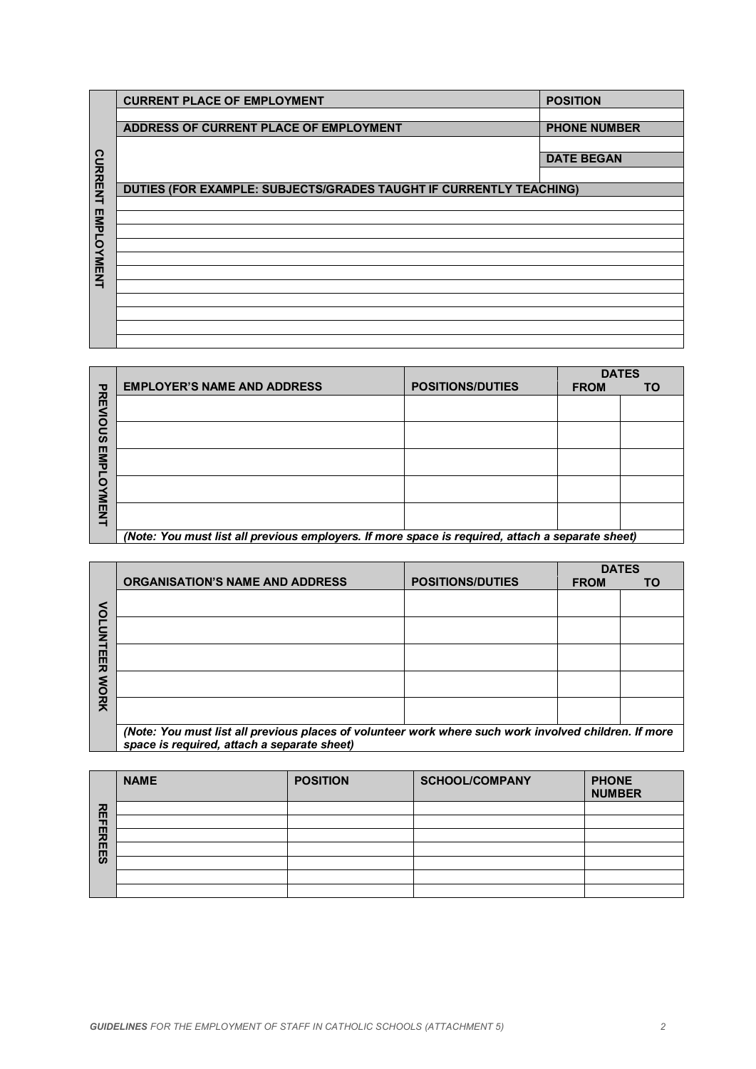|                           | <b>CURRENT PLACE OF EMPLOYMENT</b>                                                                                                                   |                 |                         | <b>POSITION</b>               |                           |
|---------------------------|------------------------------------------------------------------------------------------------------------------------------------------------------|-----------------|-------------------------|-------------------------------|---------------------------|
| <b>CURRENT EMPLOYMENT</b> | ADDRESS OF CURRENT PLACE OF EMPLOYMENT                                                                                                               |                 |                         | <b>PHONE NUMBER</b>           |                           |
|                           |                                                                                                                                                      |                 |                         | <b>DATE BEGAN</b>             |                           |
|                           |                                                                                                                                                      |                 |                         |                               |                           |
|                           | DUTIES (FOR EXAMPLE: SUBJECTS/GRADES TAUGHT IF CURRENTLY TEACHING)                                                                                   |                 |                         |                               |                           |
|                           |                                                                                                                                                      |                 |                         |                               |                           |
|                           |                                                                                                                                                      |                 |                         |                               |                           |
|                           |                                                                                                                                                      |                 |                         |                               |                           |
|                           |                                                                                                                                                      |                 |                         |                               |                           |
|                           |                                                                                                                                                      |                 |                         |                               |                           |
|                           |                                                                                                                                                      |                 |                         |                               |                           |
|                           |                                                                                                                                                      |                 |                         |                               |                           |
|                           | <b>EMPLOYER'S NAME AND ADDRESS</b>                                                                                                                   |                 | <b>POSITIONS/DUTIES</b> |                               | <b>DATES</b>              |
| PREVIOUS EMPLOYMENT       |                                                                                                                                                      |                 |                         | <b>FROM</b>                   | <b>TO</b>                 |
|                           |                                                                                                                                                      |                 |                         |                               |                           |
|                           |                                                                                                                                                      |                 |                         |                               |                           |
|                           |                                                                                                                                                      |                 |                         |                               |                           |
|                           |                                                                                                                                                      |                 |                         |                               |                           |
|                           |                                                                                                                                                      |                 |                         |                               |                           |
|                           | (Note: You must list all previous employers. If more space is required, attach a separate sheet)                                                     |                 |                         |                               |                           |
|                           |                                                                                                                                                      |                 |                         |                               |                           |
|                           |                                                                                                                                                      |                 |                         |                               |                           |
|                           | <b>ORGANISATION'S NAME AND ADDRESS</b>                                                                                                               |                 | <b>POSITIONS/DUTIES</b> | <b>FROM</b>                   | <b>DATES</b><br><b>TO</b> |
|                           |                                                                                                                                                      |                 |                         |                               |                           |
|                           |                                                                                                                                                      |                 |                         |                               |                           |
| <b>VOLUNTE</b>            |                                                                                                                                                      |                 |                         |                               |                           |
|                           |                                                                                                                                                      |                 |                         |                               |                           |
|                           |                                                                                                                                                      |                 |                         |                               |                           |
| <b>ER WORK</b>            |                                                                                                                                                      |                 |                         |                               |                           |
|                           | (Note: You must list all previous places of volunteer work where such work involved children. If more<br>space is required, attach a separate sheet) |                 |                         |                               |                           |
|                           |                                                                                                                                                      |                 |                         |                               |                           |
|                           | <b>NAME</b>                                                                                                                                          | <b>POSITION</b> | <b>SCHOOL/COMPANY</b>   | <b>PHONE</b><br><b>NUMBER</b> |                           |
|                           |                                                                                                                                                      |                 |                         |                               |                           |
|                           |                                                                                                                                                      |                 |                         |                               |                           |
| <b>REFEREES</b>           |                                                                                                                                                      |                 |                         |                               |                           |
|                           |                                                                                                                                                      |                 |                         |                               |                           |
|                           |                                                                                                                                                      |                 |                         |                               |                           |
|                           |                                                                                                                                                      |                 |                         |                               |                           |
|                           |                                                                                                                                                      |                 |                         |                               |                           |
|                           |                                                                                                                                                      |                 |                         |                               |                           |
|                           |                                                                                                                                                      |                 |                         |                               |                           |

|                                              | <b>EMPLOYER'S NAME AND ADDRESS</b>                                                               | <b>POSITIONS/DUTIES</b> | <b>DATES</b><br><b>FROM</b> | TO |
|----------------------------------------------|--------------------------------------------------------------------------------------------------|-------------------------|-----------------------------|----|
| アカリ<br><b>DOS</b><br>EMP<br>O<br><b>NENT</b> |                                                                                                  |                         |                             |    |
|                                              |                                                                                                  |                         |                             |    |
|                                              |                                                                                                  |                         |                             |    |
|                                              |                                                                                                  |                         |                             |    |
|                                              |                                                                                                  |                         |                             |    |
|                                              | (Note: You must list all previous employers. If more space is required, attach a separate sheet) |                         |                             |    |

|                  |                                                                                                       |                         | <b>DATES</b> |    |
|------------------|-------------------------------------------------------------------------------------------------------|-------------------------|--------------|----|
| <b>VOLUNTEER</b> | <b>ORGANISATION'S NAME AND ADDRESS</b>                                                                | <b>POSITIONS/DUTIES</b> | <b>FROM</b>  | ΤO |
|                  |                                                                                                       |                         |              |    |
|                  |                                                                                                       |                         |              |    |
|                  |                                                                                                       |                         |              |    |
|                  |                                                                                                       |                         |              |    |
|                  |                                                                                                       |                         |              |    |
|                  |                                                                                                       |                         |              |    |
|                  |                                                                                                       |                         |              |    |
| <b>NORK</b>      |                                                                                                       |                         |              |    |
|                  |                                                                                                       |                         |              |    |
|                  |                                                                                                       |                         |              |    |
|                  | (Note: You must list all previous places of volunteer work where such work involved children. If more |                         |              |    |
|                  | space is required, attach a separate sheet)                                                           |                         |              |    |

|                 | <b>NAME</b> | <b>POSITION</b> | <b>SCHOOL/COMPANY</b> | <b>PHONE</b><br><b>NUMBER</b> |
|-----------------|-------------|-----------------|-----------------------|-------------------------------|
|                 |             |                 |                       |                               |
|                 |             |                 |                       |                               |
| <b>REFEREES</b> |             |                 |                       |                               |
|                 |             |                 |                       |                               |
|                 |             |                 |                       |                               |
|                 |             |                 |                       |                               |
|                 |             |                 |                       |                               |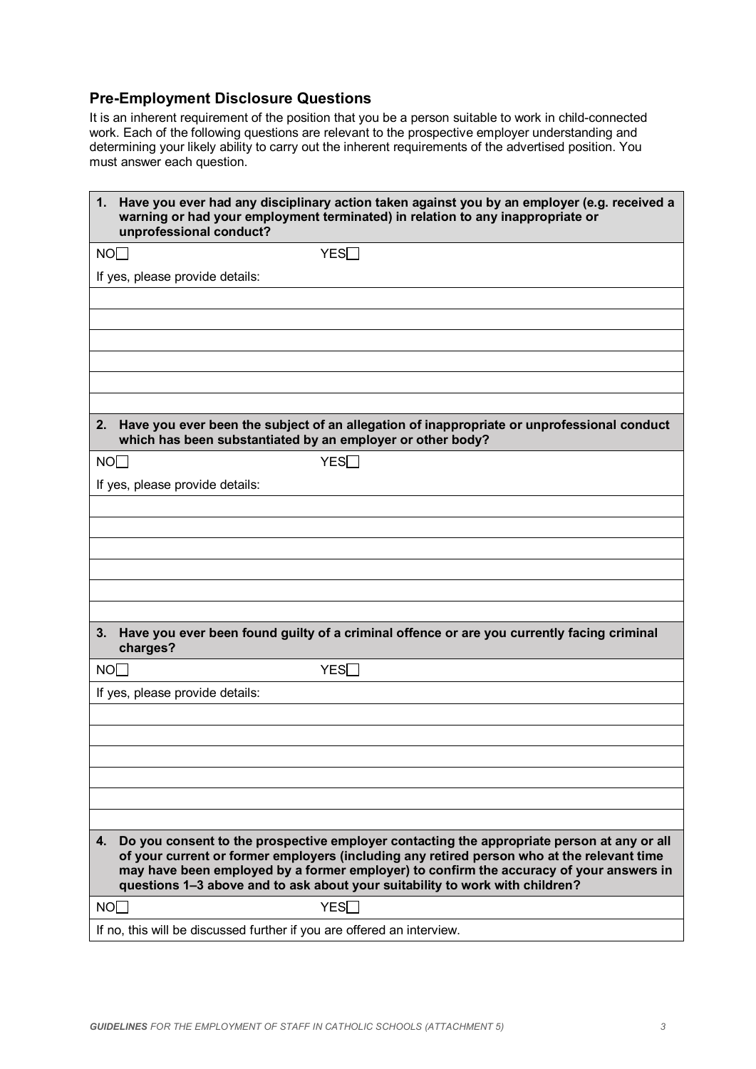## **Pre-Employment Disclosure Questions**

It is an inherent requirement of the position that you be a person suitable to work in child-connected work. Each of the following questions are relevant to the prospective employer understanding and determining your likely ability to carry out the inherent requirements of the advertised position. You must answer each question.

| 1.<br>unprofessional conduct?                                                                                                                                                                                                                                                                                                                                             | Have you ever had any disciplinary action taken against you by an employer (e.g. received a<br>warning or had your employment terminated) in relation to any inappropriate or |  |
|---------------------------------------------------------------------------------------------------------------------------------------------------------------------------------------------------------------------------------------------------------------------------------------------------------------------------------------------------------------------------|-------------------------------------------------------------------------------------------------------------------------------------------------------------------------------|--|
| NO                                                                                                                                                                                                                                                                                                                                                                        | YES                                                                                                                                                                           |  |
| If yes, please provide details:                                                                                                                                                                                                                                                                                                                                           |                                                                                                                                                                               |  |
|                                                                                                                                                                                                                                                                                                                                                                           |                                                                                                                                                                               |  |
|                                                                                                                                                                                                                                                                                                                                                                           |                                                                                                                                                                               |  |
|                                                                                                                                                                                                                                                                                                                                                                           |                                                                                                                                                                               |  |
|                                                                                                                                                                                                                                                                                                                                                                           |                                                                                                                                                                               |  |
|                                                                                                                                                                                                                                                                                                                                                                           |                                                                                                                                                                               |  |
|                                                                                                                                                                                                                                                                                                                                                                           |                                                                                                                                                                               |  |
| 2.<br>which has been substantiated by an employer or other body?                                                                                                                                                                                                                                                                                                          | Have you ever been the subject of an allegation of inappropriate or unprofessional conduct                                                                                    |  |
| NOT                                                                                                                                                                                                                                                                                                                                                                       | YES                                                                                                                                                                           |  |
| If yes, please provide details:                                                                                                                                                                                                                                                                                                                                           |                                                                                                                                                                               |  |
|                                                                                                                                                                                                                                                                                                                                                                           |                                                                                                                                                                               |  |
|                                                                                                                                                                                                                                                                                                                                                                           |                                                                                                                                                                               |  |
|                                                                                                                                                                                                                                                                                                                                                                           |                                                                                                                                                                               |  |
|                                                                                                                                                                                                                                                                                                                                                                           |                                                                                                                                                                               |  |
|                                                                                                                                                                                                                                                                                                                                                                           |                                                                                                                                                                               |  |
|                                                                                                                                                                                                                                                                                                                                                                           |                                                                                                                                                                               |  |
| 3.<br>charges?                                                                                                                                                                                                                                                                                                                                                            | Have you ever been found guilty of a criminal offence or are you currently facing criminal                                                                                    |  |
| NO <sub>1</sub>                                                                                                                                                                                                                                                                                                                                                           | YES                                                                                                                                                                           |  |
| If yes, please provide details:                                                                                                                                                                                                                                                                                                                                           |                                                                                                                                                                               |  |
|                                                                                                                                                                                                                                                                                                                                                                           |                                                                                                                                                                               |  |
|                                                                                                                                                                                                                                                                                                                                                                           |                                                                                                                                                                               |  |
|                                                                                                                                                                                                                                                                                                                                                                           |                                                                                                                                                                               |  |
|                                                                                                                                                                                                                                                                                                                                                                           |                                                                                                                                                                               |  |
|                                                                                                                                                                                                                                                                                                                                                                           |                                                                                                                                                                               |  |
|                                                                                                                                                                                                                                                                                                                                                                           |                                                                                                                                                                               |  |
| Do you consent to the prospective employer contacting the appropriate person at any or all<br>4.<br>of your current or former employers (including any retired person who at the relevant time<br>may have been employed by a former employer) to confirm the accuracy of your answers in<br>questions 1-3 above and to ask about your suitability to work with children? |                                                                                                                                                                               |  |
| NOT                                                                                                                                                                                                                                                                                                                                                                       | YES <sub>I</sub>                                                                                                                                                              |  |
| If no, this will be discussed further if you are offered an interview.                                                                                                                                                                                                                                                                                                    |                                                                                                                                                                               |  |